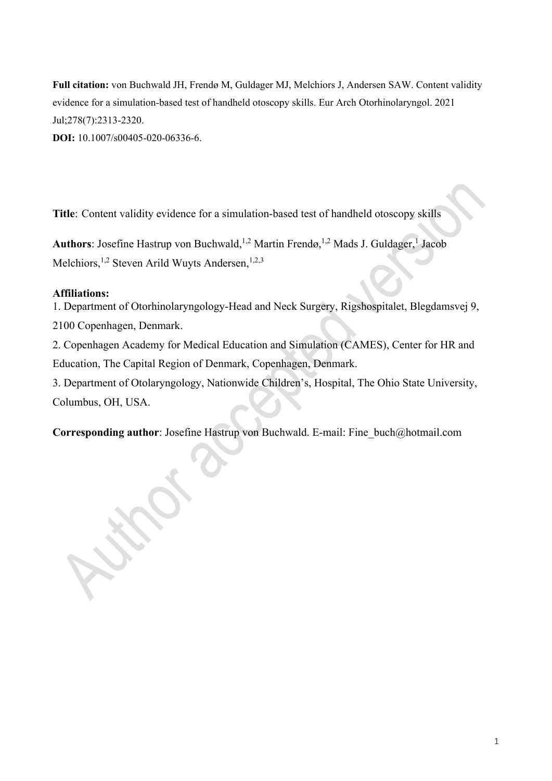**Full citation:** von Buchwald JH, Frendø M, Guldager MJ, Melchiors J, Andersen SAW. Content validity evidence for a simulation-based test of handheld otoscopy skills. Eur Arch Otorhinolaryngol. 2021 Jul;278(7):2313-2320.

**DOI:** 10.1007/s00405-020-06336-6.

**Title**: Content validity evidence for a simulation-based test of handheld otoscopy skills

Authors: Josefine Hastrup von Buchwald, <sup>1,2</sup> Martin Frendø, <sup>1,2</sup> Mads J. Guldager, <sup>1</sup> Jacob Melchiors,<sup>1,2</sup> Steven Arild Wuyts Andersen,<sup>1,2,3</sup>

## **Affiliations:**

1. Department of Otorhinolaryngology‑Head and Neck Surgery, Rigshospitalet, Blegdamsvej 9, 2100 Copenhagen, Denmark.

2. Copenhagen Academy for Medical Education and Simulation (CAMES), Center for HR and Education, The Capital Region of Denmark, Copenhagen, Denmark.

3. Department of Otolaryngology, Nationwide Children's, Hospital, The Ohio State University, Columbus, OH, USA.

**Corresponding author**: Josefine Hastrup von Buchwald. E-mail: Fine\_buch@hotmail.com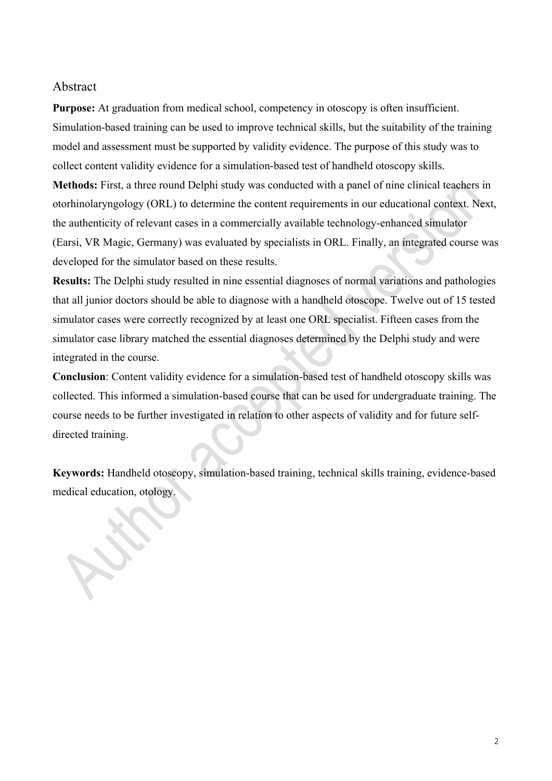### Abstract

**Purpose:** At graduation from medical school, competency in otoscopy is often insufficient. Simulation-based training can be used to improve technical skills, but the suitability of the training model and assessment must be supported by validity evidence. The purpose of this study was to collect content validity evidence for a simulation-based test of handheld otoscopy skills.

**Methods:** First, a three round Delphi study was conducted with a panel of nine clinical teachers in otorhinolaryngology (ORL) to determine the content requirements in our educational context. Next, the authenticity of relevant cases in a commercially available technology-enhanced simulator (Earsi, VR Magic, Germany) was evaluated by specialists in ORL. Finally, an integrated course was developed for the simulator based on these results.

**Results:** The Delphi study resulted in nine essential diagnoses of normal variations and pathologies that all junior doctors should be able to diagnose with a handheld otoscope. Twelve out of 15 tested simulator cases were correctly recognized by at least one ORL specialist. Fifteen cases from the simulator case library matched the essential diagnoses determined by the Delphi study and were integrated in the course.

**Conclusion**: Content validity evidence for a simulation-based test of handheld otoscopy skills was collected. This informed a simulation-based course that can be used for undergraduate training. The course needs to be further investigated in relation to other aspects of validity and for future selfdirected training.

**Keywords:** Handheld otoscopy, simulation-based training, technical skills training, evidence-based medical education, otology.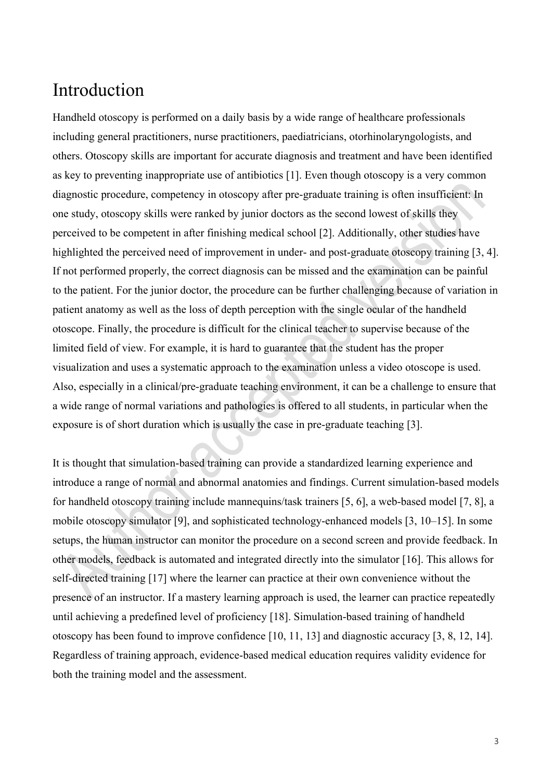# Introduction

Handheld otoscopy is performed on a daily basis by a wide range of healthcare professionals including general practitioners, nurse practitioners, paediatricians, otorhinolaryngologists, and others. Otoscopy skills are important for accurate diagnosis and treatment and have been identified as key to preventing inappropriate use of antibiotics [1]. Even though otoscopy is a very common diagnostic procedure, competency in otoscopy after pre-graduate training is often insufficient: In one study, otoscopy skills were ranked by junior doctors as the second lowest of skills they perceived to be competent in after finishing medical school [2]. Additionally, other studies have highlighted the perceived need of improvement in under- and post-graduate otoscopy training [3, 4]. If not performed properly, the correct diagnosis can be missed and the examination can be painful to the patient. For the junior doctor, the procedure can be further challenging because of variation in patient anatomy as well as the loss of depth perception with the single ocular of the handheld otoscope. Finally, the procedure is difficult for the clinical teacher to supervise because of the limited field of view. For example, it is hard to guarantee that the student has the proper visualization and uses a systematic approach to the examination unless a video otoscope is used. Also, especially in a clinical/pre-graduate teaching environment, it can be a challenge to ensure that a wide range of normal variations and pathologies is offered to all students, in particular when the exposure is of short duration which is usually the case in pre-graduate teaching [3].

It is thought that simulation-based training can provide a standardized learning experience and introduce a range of normal and abnormal anatomies and findings. Current simulation-based models for handheld otoscopy training include mannequins/task trainers [5, 6], a web-based model [7, 8], a mobile otoscopy simulator [9], and sophisticated technology-enhanced models [3, 10–15]. In some setups, the human instructor can monitor the procedure on a second screen and provide feedback. In other models, feedback is automated and integrated directly into the simulator [16]. This allows for self-directed training [17] where the learner can practice at their own convenience without the presence of an instructor. If a mastery learning approach is used, the learner can practice repeatedly until achieving a predefined level of proficiency [18]. Simulation-based training of handheld otoscopy has been found to improve confidence [10, 11, 13] and diagnostic accuracy [3, 8, 12, 14]. Regardless of training approach, evidence-based medical education requires validity evidence for both the training model and the assessment.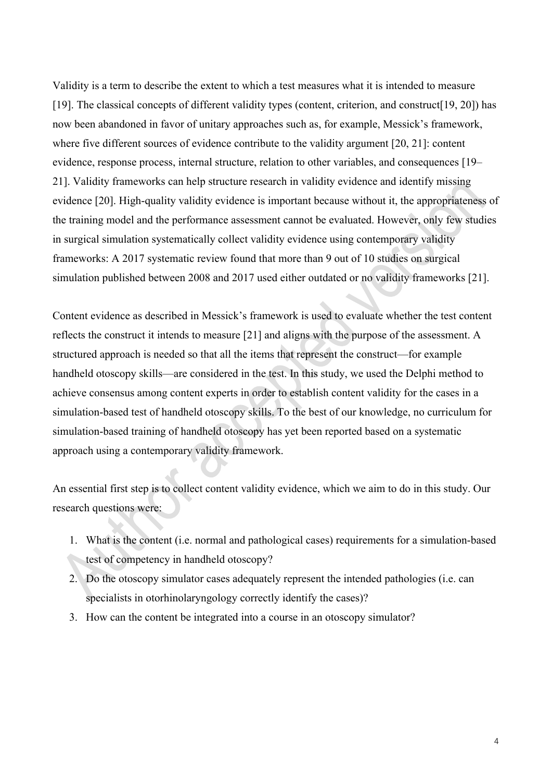Validity is a term to describe the extent to which a test measures what it is intended to measure [19]. The classical concepts of different validity types (content, criterion, and construct[19, 20]) has now been abandoned in favor of unitary approaches such as, for example, Messick's framework, where five different sources of evidence contribute to the validity argument [20, 21]: content evidence, response process, internal structure, relation to other variables, and consequences [19– 21]. Validity frameworks can help structure research in validity evidence and identify missing evidence [20]. High-quality validity evidence is important because without it, the appropriateness of the training model and the performance assessment cannot be evaluated. However, only few studies in surgical simulation systematically collect validity evidence using contemporary validity frameworks: A 2017 systematic review found that more than 9 out of 10 studies on surgical simulation published between 2008 and 2017 used either outdated or no validity frameworks [21].

Content evidence as described in Messick's framework is used to evaluate whether the test content reflects the construct it intends to measure [21] and aligns with the purpose of the assessment. A structured approach is needed so that all the items that represent the construct—for example handheld otoscopy skills—are considered in the test. In this study, we used the Delphi method to achieve consensus among content experts in order to establish content validity for the cases in a simulation-based test of handheld otoscopy skills. To the best of our knowledge, no curriculum for simulation-based training of handheld otoscopy has yet been reported based on a systematic approach using a contemporary validity framework.

An essential first step is to collect content validity evidence, which we aim to do in this study. Our research questions were:

- 1. What is the content (i.e. normal and pathological cases) requirements for a simulation-based test of competency in handheld otoscopy?
- 2. Do the otoscopy simulator cases adequately represent the intended pathologies (i.e. can specialists in otorhinolaryngology correctly identify the cases)?
- 3. How can the content be integrated into a course in an otoscopy simulator?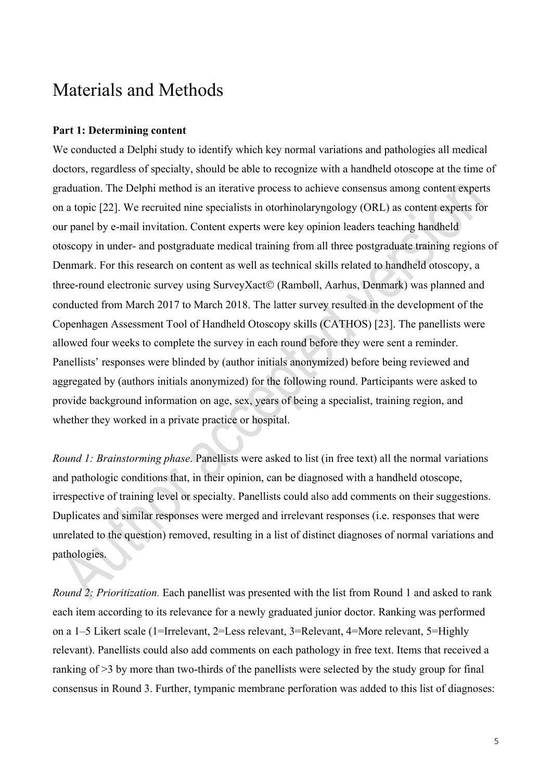# Materials and Methods

#### **Part 1: Determining content**

We conducted a Delphi study to identify which key normal variations and pathologies all medical doctors, regardless of specialty, should be able to recognize with a handheld otoscope at the time of graduation. The Delphi method is an iterative process to achieve consensus among content experts on a topic [22]. We recruited nine specialists in otorhinolaryngology (ORL) as content experts for our panel by e-mail invitation. Content experts were key opinion leaders teaching handheld otoscopy in under- and postgraduate medical training from all three postgraduate training regions of Denmark. For this research on content as well as technical skills related to handheld otoscopy, a three-round electronic survey using SurveyXact© (Rambøll, Aarhus, Denmark) was planned and conducted from March 2017 to March 2018. The latter survey resulted in the development of the Copenhagen Assessment Tool of Handheld Otoscopy skills (CATHOS) [23]. The panellists were allowed four weeks to complete the survey in each round before they were sent a reminder. Panellists' responses were blinded by (author initials anonymized) before being reviewed and aggregated by (authors initials anonymized) for the following round. Participants were asked to provide background information on age, sex, years of being a specialist, training region, and whether they worked in a private practice or hospital.

*Round 1: Brainstorming phase*. Panellists were asked to list (in free text) all the normal variations and pathologic conditions that, in their opinion, can be diagnosed with a handheld otoscope, irrespective of training level or specialty. Panellists could also add comments on their suggestions. Duplicates and similar responses were merged and irrelevant responses (i.e. responses that were unrelated to the question) removed, resulting in a list of distinct diagnoses of normal variations and pathologies.

*Round 2: Prioritization.* Each panellist was presented with the list from Round 1 and asked to rank each item according to its relevance for a newly graduated junior doctor. Ranking was performed on a 1–5 Likert scale (1=Irrelevant, 2=Less relevant, 3=Relevant, 4=More relevant, 5=Highly relevant). Panellists could also add comments on each pathology in free text. Items that received a ranking of >3 by more than two-thirds of the panellists were selected by the study group for final consensus in Round 3. Further, tympanic membrane perforation was added to this list of diagnoses: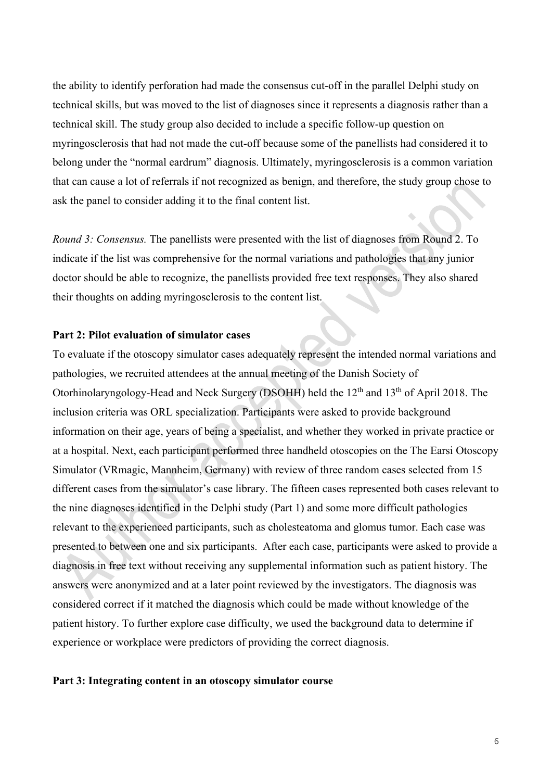the ability to identify perforation had made the consensus cut-off in the parallel Delphi study on technical skills, but was moved to the list of diagnoses since it represents a diagnosis rather than a technical skill. The study group also decided to include a specific follow-up question on myringosclerosis that had not made the cut-off because some of the panellists had considered it to belong under the "normal eardrum" diagnosis. Ultimately, myringosclerosis is a common variation that can cause a lot of referrals if not recognized as benign, and therefore, the study group chose to ask the panel to consider adding it to the final content list.

*Round 3: Consensus.* The panellists were presented with the list of diagnoses from Round 2. To indicate if the list was comprehensive for the normal variations and pathologies that any junior doctor should be able to recognize, the panellists provided free text responses. They also shared their thoughts on adding myringosclerosis to the content list.

#### **Part 2: Pilot evaluation of simulator cases**

To evaluate if the otoscopy simulator cases adequately represent the intended normal variations and pathologies, we recruited attendees at the annual meeting of the Danish Society of Otorhinolaryngology-Head and Neck Surgery (DSOHH) held the 12<sup>th</sup> and 13<sup>th</sup> of April 2018. The inclusion criteria was ORL specialization. Participants were asked to provide background information on their age, years of being a specialist, and whether they worked in private practice or at a hospital. Next, each participant performed three handheld otoscopies on the The Earsi Otoscopy Simulator (VRmagic, Mannheim, Germany) with review of three random cases selected from 15 different cases from the simulator's case library. The fifteen cases represented both cases relevant to the nine diagnoses identified in the Delphi study (Part 1) and some more difficult pathologies relevant to the experienced participants, such as cholesteatoma and glomus tumor. Each case was presented to between one and six participants. After each case, participants were asked to provide a diagnosis in free text without receiving any supplemental information such as patient history. The answers were anonymized and at a later point reviewed by the investigators. The diagnosis was considered correct if it matched the diagnosis which could be made without knowledge of the patient history. To further explore case difficulty, we used the background data to determine if experience or workplace were predictors of providing the correct diagnosis.

#### **Part 3: Integrating content in an otoscopy simulator course**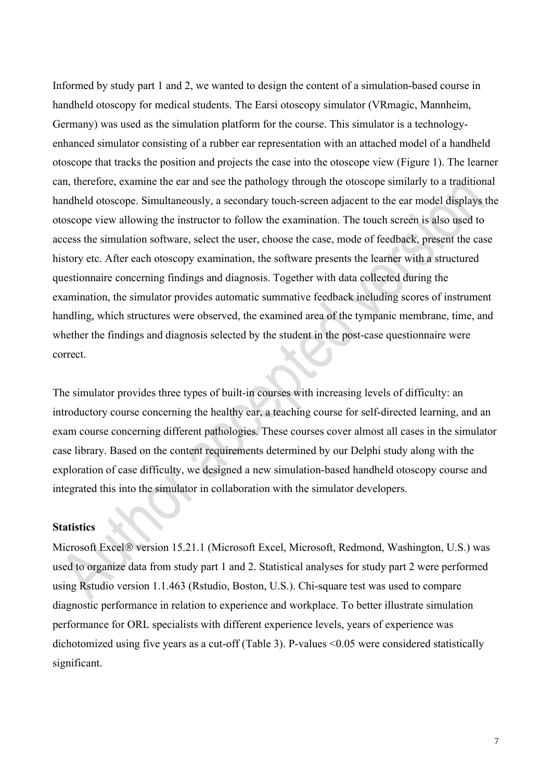Informed by study part 1 and 2, we wanted to design the content of a simulation-based course in handheld otoscopy for medical students. The Earsi otoscopy simulator (VRmagic, Mannheim, Germany) was used as the simulation platform for the course. This simulator is a technologyenhanced simulator consisting of a rubber ear representation with an attached model of a handheld otoscope that tracks the position and projects the case into the otoscope view (Figure 1). The learner can, therefore, examine the ear and see the pathology through the otoscope similarly to a traditional handheld otoscope. Simultaneously, a secondary touch-screen adjacent to the ear model displays the otoscope view allowing the instructor to follow the examination. The touch screen is also used to access the simulation software, select the user, choose the case, mode of feedback, present the case history etc. After each otoscopy examination, the software presents the learner with a structured questionnaire concerning findings and diagnosis. Together with data collected during the examination, the simulator provides automatic summative feedback including scores of instrument handling, which structures were observed, the examined area of the tympanic membrane, time, and whether the findings and diagnosis selected by the student in the post-case questionnaire were correct.

The simulator provides three types of built-in courses with increasing levels of difficulty: an introductory course concerning the healthy ear, a teaching course for self-directed learning, and an exam course concerning different pathologies. These courses cover almost all cases in the simulator case library. Based on the content requirements determined by our Delphi study along with the exploration of case difficulty, we designed a new simulation-based handheld otoscopy course and integrated this into the simulator in collaboration with the simulator developers.

#### **Statistics**

Microsoft Excel® version 15.21.1 (Microsoft Excel, Microsoft, Redmond, Washington, U.S.) was used to organize data from study part 1 and 2. Statistical analyses for study part 2 were performed using Rstudio version 1.1.463 (Rstudio, Boston, U.S.). Chi-square test was used to compare diagnostic performance in relation to experience and workplace. To better illustrate simulation performance for ORL specialists with different experience levels, years of experience was dichotomized using five years as a cut-off (Table 3). P-values <0.05 were considered statistically significant.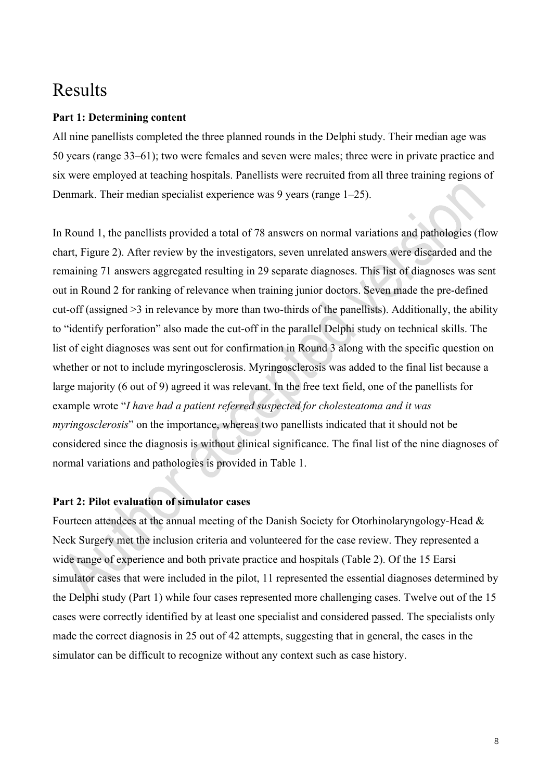# Results

#### **Part 1: Determining content**

All nine panellists completed the three planned rounds in the Delphi study. Their median age was 50 years (range 33–61); two were females and seven were males; three were in private practice and six were employed at teaching hospitals. Panellists were recruited from all three training regions of Denmark. Their median specialist experience was 9 years (range 1–25).

In Round 1, the panellists provided a total of 78 answers on normal variations and pathologies (flow chart, Figure 2). After review by the investigators, seven unrelated answers were discarded and the remaining 71 answers aggregated resulting in 29 separate diagnoses. This list of diagnoses was sent out in Round 2 for ranking of relevance when training junior doctors. Seven made the pre-defined cut-off (assigned >3 in relevance by more than two-thirds of the panellists). Additionally, the ability to "identify perforation" also made the cut-off in the parallel Delphi study on technical skills. The list of eight diagnoses was sent out for confirmation in Round 3 along with the specific question on whether or not to include myringosclerosis. Myringosclerosis was added to the final list because a large majority (6 out of 9) agreed it was relevant. In the free text field, one of the panellists for example wrote "*I have had a patient referred suspected for cholesteatoma and it was myringosclerosis*" on the importance, whereas two panellists indicated that it should not be considered since the diagnosis is without clinical significance. The final list of the nine diagnoses of normal variations and pathologies is provided in Table 1.

## **Part 2: Pilot evaluation of simulator cases**

Fourteen attendees at the annual meeting of the Danish Society for Otorhinolaryngology-Head & Neck Surgery met the inclusion criteria and volunteered for the case review. They represented a wide range of experience and both private practice and hospitals (Table 2). Of the 15 Earsi simulator cases that were included in the pilot, 11 represented the essential diagnoses determined by the Delphi study (Part 1) while four cases represented more challenging cases. Twelve out of the 15 cases were correctly identified by at least one specialist and considered passed. The specialists only made the correct diagnosis in 25 out of 42 attempts, suggesting that in general, the cases in the simulator can be difficult to recognize without any context such as case history.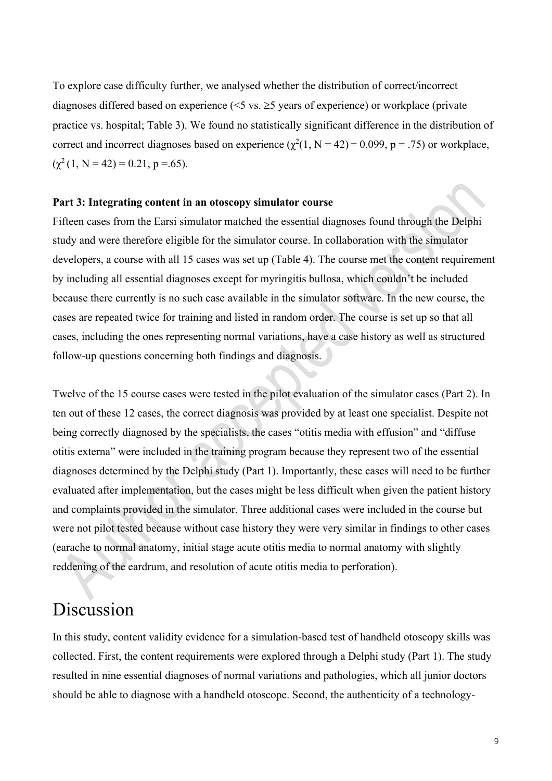To explore case difficulty further, we analysed whether the distribution of correct/incorrect diagnoses differed based on experience ( $\leq$ 5 vs.  $\geq$ 5 years of experience) or workplace (private practice vs. hospital; Table 3). We found no statistically significant difference in the distribution of correct and incorrect diagnoses based on experience  $(\chi^2(1, N = 42) = 0.099, p = .75)$  or workplace,  $(\chi^2 (1, N = 42) = 0.21, p = .65).$ 

#### **Part 3: Integrating content in an otoscopy simulator course**

Fifteen cases from the Earsi simulator matched the essential diagnoses found through the Delphi study and were therefore eligible for the simulator course. In collaboration with the simulator developers, a course with all 15 cases was set up (Table 4). The course met the content requirement by including all essential diagnoses except for myringitis bullosa, which couldn't be included because there currently is no such case available in the simulator software. In the new course, the cases are repeated twice for training and listed in random order. The course is set up so that all cases, including the ones representing normal variations, have a case history as well as structured follow-up questions concerning both findings and diagnosis.

Twelve of the 15 course cases were tested in the pilot evaluation of the simulator cases (Part 2). In ten out of these 12 cases, the correct diagnosis was provided by at least one specialist. Despite not being correctly diagnosed by the specialists, the cases "otitis media with effusion" and "diffuse otitis externa" were included in the training program because they represent two of the essential diagnoses determined by the Delphi study (Part 1). Importantly, these cases will need to be further evaluated after implementation, but the cases might be less difficult when given the patient history and complaints provided in the simulator. Three additional cases were included in the course but were not pilot tested because without case history they were very similar in findings to other cases (earache to normal anatomy, initial stage acute otitis media to normal anatomy with slightly reddening of the eardrum, and resolution of acute otitis media to perforation).

# Discussion

In this study, content validity evidence for a simulation-based test of handheld otoscopy skills was collected. First, the content requirements were explored through a Delphi study (Part 1). The study resulted in nine essential diagnoses of normal variations and pathologies, which all junior doctors should be able to diagnose with a handheld otoscope. Second, the authenticity of a technology-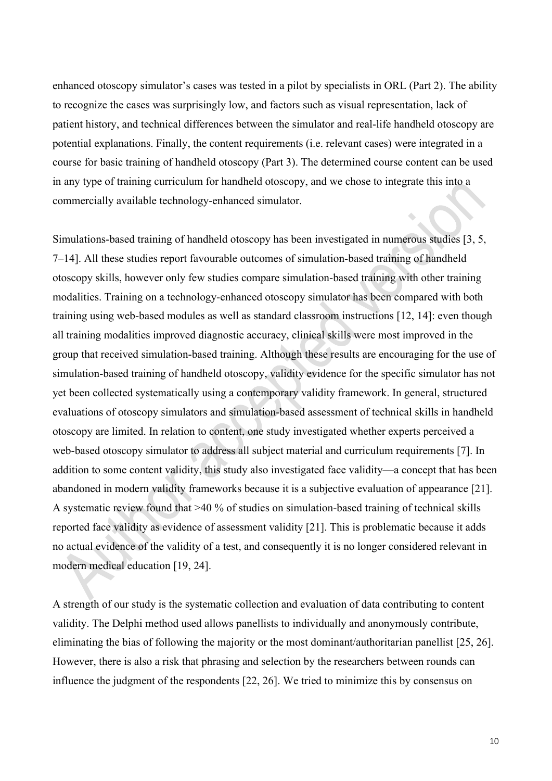enhanced otoscopy simulator's cases was tested in a pilot by specialists in ORL (Part 2). The ability to recognize the cases was surprisingly low, and factors such as visual representation, lack of patient history, and technical differences between the simulator and real-life handheld otoscopy are potential explanations. Finally, the content requirements (i.e. relevant cases) were integrated in a course for basic training of handheld otoscopy (Part 3). The determined course content can be used in any type of training curriculum for handheld otoscopy, and we chose to integrate this into a commercially available technology-enhanced simulator.

Simulations-based training of handheld otoscopy has been investigated in numerous studies [3, 5, 7–14]. All these studies report favourable outcomes of simulation-based training of handheld otoscopy skills, however only few studies compare simulation-based training with other training modalities. Training on a technology-enhanced otoscopy simulator has been compared with both training using web-based modules as well as standard classroom instructions [12, 14]: even though all training modalities improved diagnostic accuracy, clinical skills were most improved in the group that received simulation-based training. Although these results are encouraging for the use of simulation-based training of handheld otoscopy, validity evidence for the specific simulator has not yet been collected systematically using a contemporary validity framework. In general, structured evaluations of otoscopy simulators and simulation-based assessment of technical skills in handheld otoscopy are limited. In relation to content, one study investigated whether experts perceived a web-based otoscopy simulator to address all subject material and curriculum requirements [7]. In addition to some content validity, this study also investigated face validity—a concept that has been abandoned in modern validity frameworks because it is a subjective evaluation of appearance [21]. A systematic review found that >40 % of studies on simulation-based training of technical skills reported face validity as evidence of assessment validity [21]. This is problematic because it adds no actual evidence of the validity of a test, and consequently it is no longer considered relevant in modern medical education [19, 24].

A strength of our study is the systematic collection and evaluation of data contributing to content validity. The Delphi method used allows panellists to individually and anonymously contribute, eliminating the bias of following the majority or the most dominant/authoritarian panellist [25, 26]. However, there is also a risk that phrasing and selection by the researchers between rounds can influence the judgment of the respondents [22, 26]. We tried to minimize this by consensus on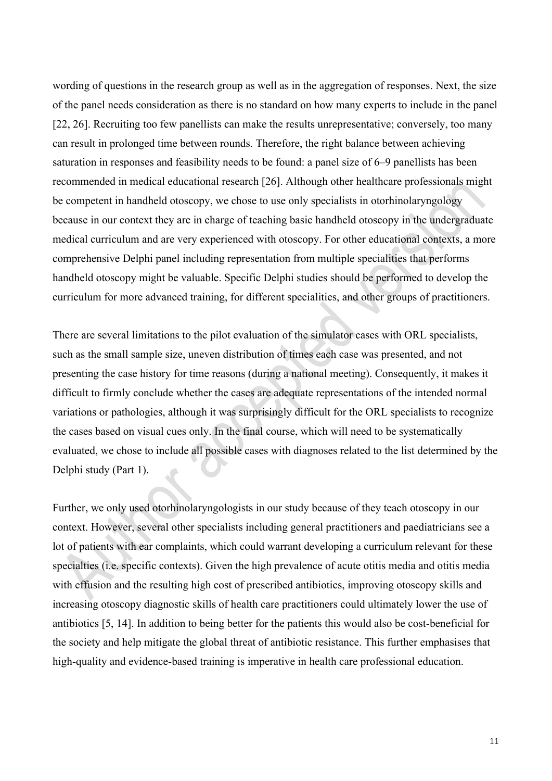wording of questions in the research group as well as in the aggregation of responses. Next, the size of the panel needs consideration as there is no standard on how many experts to include in the panel [22, 26]. Recruiting too few panellists can make the results unrepresentative; conversely, too many can result in prolonged time between rounds. Therefore, the right balance between achieving saturation in responses and feasibility needs to be found: a panel size of 6–9 panellists has been recommended in medical educational research [26]. Although other healthcare professionals might be competent in handheld otoscopy, we chose to use only specialists in otorhinolaryngology because in our context they are in charge of teaching basic handheld otoscopy in the undergraduate medical curriculum and are very experienced with otoscopy. For other educational contexts, a more comprehensive Delphi panel including representation from multiple specialities that performs handheld otoscopy might be valuable. Specific Delphi studies should be performed to develop the curriculum for more advanced training, for different specialities, and other groups of practitioners.

There are several limitations to the pilot evaluation of the simulator cases with ORL specialists, such as the small sample size, uneven distribution of times each case was presented, and not presenting the case history for time reasons (during a national meeting). Consequently, it makes it difficult to firmly conclude whether the cases are adequate representations of the intended normal variations or pathologies, although it was surprisingly difficult for the ORL specialists to recognize the cases based on visual cues only. In the final course, which will need to be systematically evaluated, we chose to include all possible cases with diagnoses related to the list determined by the Delphi study (Part 1).

Further, we only used otorhinolaryngologists in our study because of they teach otoscopy in our context. However, several other specialists including general practitioners and paediatricians see a lot of patients with ear complaints, which could warrant developing a curriculum relevant for these specialties (i.e. specific contexts). Given the high prevalence of acute otitis media and otitis media with effusion and the resulting high cost of prescribed antibiotics, improving otoscopy skills and increasing otoscopy diagnostic skills of health care practitioners could ultimately lower the use of antibiotics [5, 14]. In addition to being better for the patients this would also be cost-beneficial for the society and help mitigate the global threat of antibiotic resistance. This further emphasises that high-quality and evidence-based training is imperative in health care professional education.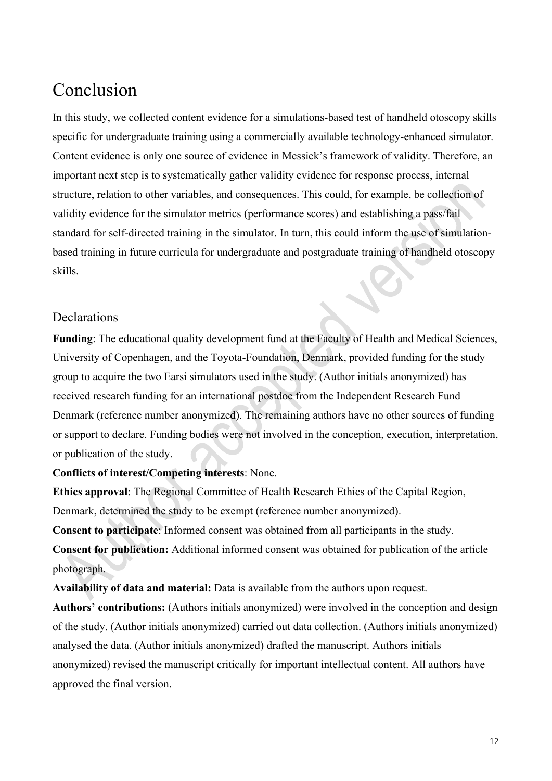# Conclusion

In this study, we collected content evidence for a simulations-based test of handheld otoscopy skills specific for undergraduate training using a commercially available technology-enhanced simulator. Content evidence is only one source of evidence in Messick's framework of validity. Therefore, an important next step is to systematically gather validity evidence for response process, internal structure, relation to other variables, and consequences. This could, for example, be collection of validity evidence for the simulator metrics (performance scores) and establishing a pass/fail standard for self-directed training in the simulator. In turn, this could inform the use of simulationbased training in future curricula for undergraduate and postgraduate training of handheld otoscopy skills.

## Declarations

**Funding**: The educational quality development fund at the Faculty of Health and Medical Sciences, University of Copenhagen, and the Toyota-Foundation, Denmark, provided funding for the study group to acquire the two Earsi simulators used in the study. (Author initials anonymized) has received research funding for an international postdoc from the Independent Research Fund Denmark (reference number anonymized). The remaining authors have no other sources of funding or support to declare. Funding bodies were not involved in the conception, execution, interpretation, or publication of the study.

### **Conflicts of interest/Competing interests**: None.

**Ethics approval**: The Regional Committee of Health Research Ethics of the Capital Region, Denmark, determined the study to be exempt (reference number anonymized).

**Consent to participate**: Informed consent was obtained from all participants in the study.

**Consent for publication:** Additional informed consent was obtained for publication of the article photograph.

**Availability of data and material:** Data is available from the authors upon request.

**Authors' contributions:** (Authors initials anonymized) were involved in the conception and design of the study. (Author initials anonymized) carried out data collection. (Authors initials anonymized) analysed the data. (Author initials anonymized) drafted the manuscript. Authors initials anonymized) revised the manuscript critically for important intellectual content. All authors have approved the final version.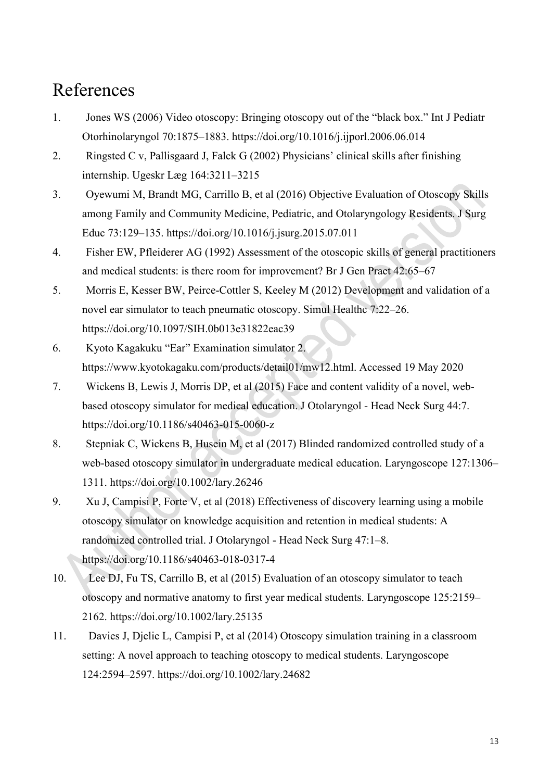# References

- 1. Jones WS (2006) Video otoscopy: Bringing otoscopy out of the "black box." Int J Pediatr Otorhinolaryngol 70:1875–1883. https://doi.org/10.1016/j.ijporl.2006.06.014
- 2. Ringsted C v, Pallisgaard J, Falck G (2002) Physicians' clinical skills after finishing internship. Ugeskr Læg 164:3211–3215
- 3. Oyewumi M, Brandt MG, Carrillo B, et al (2016) Objective Evaluation of Otoscopy Skills among Family and Community Medicine, Pediatric, and Otolaryngology Residents. J Surg Educ 73:129–135. https://doi.org/10.1016/j.jsurg.2015.07.011
- 4. Fisher EW, Pfleiderer AG (1992) Assessment of the otoscopic skills of general practitioners and medical students: is there room for improvement? Br J Gen Pract 42:65–67
- 5. Morris E, Kesser BW, Peirce-Cottler S, Keeley M (2012) Development and validation of a novel ear simulator to teach pneumatic otoscopy. Simul Healthc 7:22–26. https://doi.org/10.1097/SIH.0b013e31822eac39
- 6. Kyoto Kagakuku "Ear" Examination simulator 2. https://www.kyotokagaku.com/products/detail01/mw12.html. Accessed 19 May 2020
- 7. Wickens B, Lewis J, Morris DP, et al (2015) Face and content validity of a novel, webbased otoscopy simulator for medical education. J Otolaryngol - Head Neck Surg 44:7. https://doi.org/10.1186/s40463-015-0060-z
- 8. Stepniak C, Wickens B, Husein M, et al (2017) Blinded randomized controlled study of a web-based otoscopy simulator in undergraduate medical education. Laryngoscope 127:1306– 1311. https://doi.org/10.1002/lary.26246
- 9. Xu J, Campisi P, Forte V, et al (2018) Effectiveness of discovery learning using a mobile otoscopy simulator on knowledge acquisition and retention in medical students: A randomized controlled trial. J Otolaryngol - Head Neck Surg 47:1–8. https://doi.org/10.1186/s40463-018-0317-4
- 10. Lee DJ, Fu TS, Carrillo B, et al (2015) Evaluation of an otoscopy simulator to teach otoscopy and normative anatomy to first year medical students. Laryngoscope 125:2159– 2162. https://doi.org/10.1002/lary.25135
- 11. Davies J, Djelic L, Campisi P, et al (2014) Otoscopy simulation training in a classroom setting: A novel approach to teaching otoscopy to medical students. Laryngoscope 124:2594–2597. https://doi.org/10.1002/lary.24682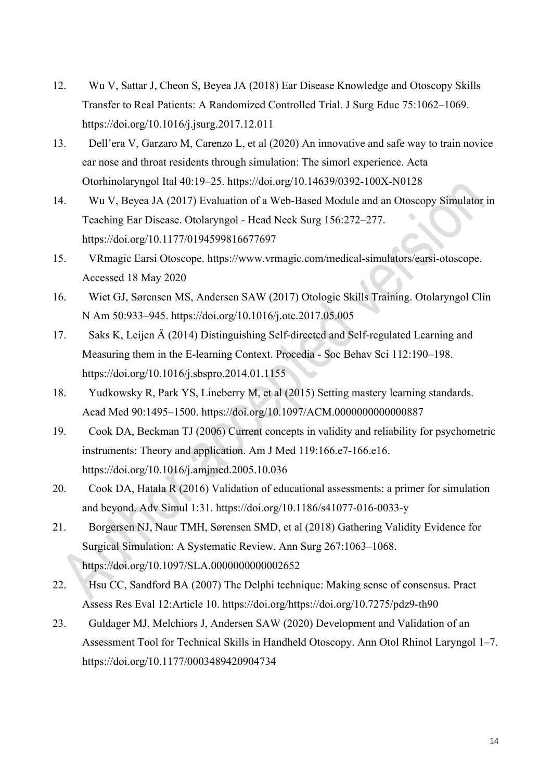- 12. Wu V, Sattar J, Cheon S, Beyea JA (2018) Ear Disease Knowledge and Otoscopy Skills Transfer to Real Patients: A Randomized Controlled Trial. J Surg Educ 75:1062–1069. https://doi.org/10.1016/j.jsurg.2017.12.011
- 13. Dell'era V, Garzaro M, Carenzo L, et al (2020) An innovative and safe way to train novice ear nose and throat residents through simulation: The simorl experience. Acta Otorhinolaryngol Ital 40:19–25. https://doi.org/10.14639/0392-100X-N0128
- 14. Wu V, Beyea JA (2017) Evaluation of a Web-Based Module and an Otoscopy Simulator in Teaching Ear Disease. Otolaryngol - Head Neck Surg 156:272–277. https://doi.org/10.1177/0194599816677697
- 15. VRmagic Earsi Otoscope. https://www.vrmagic.com/medical-simulators/earsi-otoscope. Accessed 18 May 2020
- 16. Wiet GJ, Sørensen MS, Andersen SAW (2017) Otologic Skills Training. Otolaryngol Clin N Am 50:933–945. https://doi.org/10.1016/j.otc.2017.05.005
- 17. Saks K, Leijen Ä (2014) Distinguishing Self-directed and Self-regulated Learning and Measuring them in the E-learning Context. Procedia - Soc Behav Sci 112:190–198. https://doi.org/10.1016/j.sbspro.2014.01.1155
- 18. Yudkowsky R, Park YS, Lineberry M, et al (2015) Setting mastery learning standards. Acad Med 90:1495–1500. https://doi.org/10.1097/ACM.0000000000000887
- 19. Cook DA, Beckman TJ (2006) Current concepts in validity and reliability for psychometric instruments: Theory and application. Am J Med 119:166.e7-166.e16. https://doi.org/10.1016/j.amjmed.2005.10.036
- 20. Cook DA, Hatala R (2016) Validation of educational assessments: a primer for simulation and beyond. Adv Simul 1:31. https://doi.org/10.1186/s41077-016-0033-y
- 21. Borgersen NJ, Naur TMH, Sørensen SMD, et al (2018) Gathering Validity Evidence for Surgical Simulation: A Systematic Review. Ann Surg 267:1063–1068. https://doi.org/10.1097/SLA.0000000000002652
- 22. Hsu CC, Sandford BA (2007) The Delphi technique: Making sense of consensus. Pract Assess Res Eval 12:Article 10. https://doi.org/https://doi.org/10.7275/pdz9-th90
- 23. Guldager MJ, Melchiors J, Andersen SAW (2020) Development and Validation of an Assessment Tool for Technical Skills in Handheld Otoscopy. Ann Otol Rhinol Laryngol 1–7. https://doi.org/10.1177/0003489420904734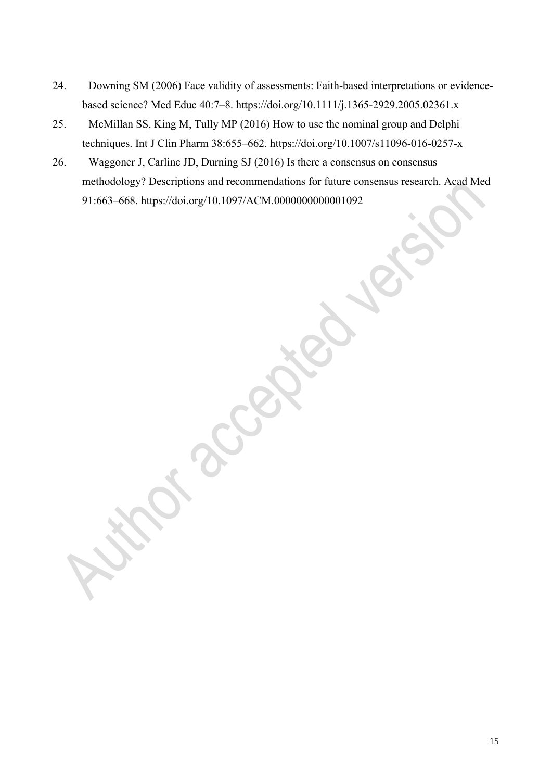- 24. Downing SM (2006) Face validity of assessments: Faith-based interpretations or evidencebased science? Med Educ 40:7–8. https://doi.org/10.1111/j.1365-2929.2005.02361.x
- 25. McMillan SS, King M, Tully MP (2016) How to use the nominal group and Delphi techniques. Int J Clin Pharm 38:655–662. https://doi.org/10.1007/s11096-016-0257-x
- 26. Waggoner J, Carline JD, Durning SJ (2016) Is there a consensus on consensus methodology? Descriptions and recommendations for future consensus research. Acad Med 91:663–668. https://doi.org/10.1097/ACM.0000000000001092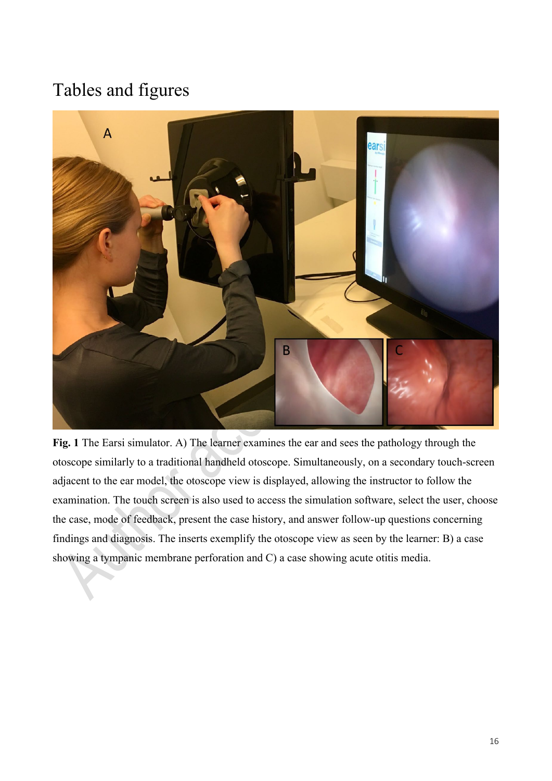# Tables and figures



**Fig. 1** The Earsi simulator. A) The learner examines the ear and sees the pathology through the otoscope similarly to a traditional handheld otoscope. Simultaneously, on a secondary touch-screen adjacent to the ear model, the otoscope view is displayed, allowing the instructor to follow the examination. The touch screen is also used to access the simulation software, select the user, choose the case, mode of feedback, present the case history, and answer follow-up questions concerning findings and diagnosis. The inserts exemplify the otoscope view as seen by the learner: B) a case showing a tympanic membrane perforation and C) a case showing acute otitis media.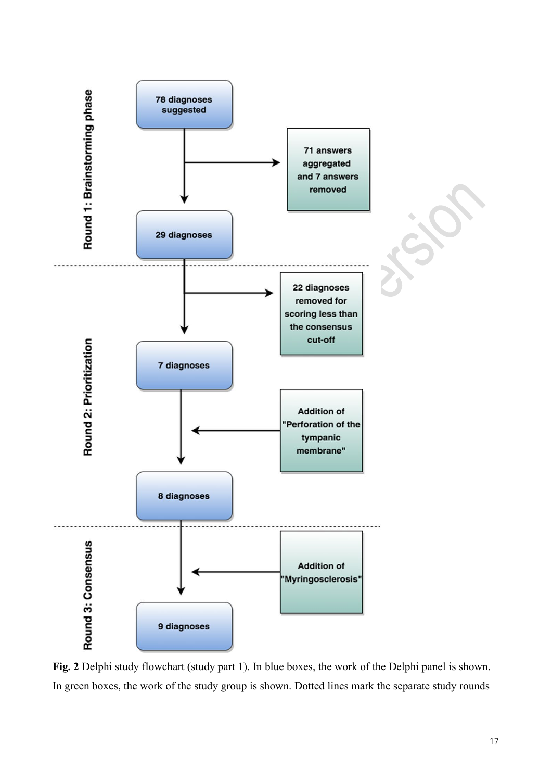

**Fig. 2** Delphi study flowchart (study part 1). In blue boxes, the work of the Delphi panel is shown. In green boxes, the work of the study group is shown. Dotted lines mark the separate study rounds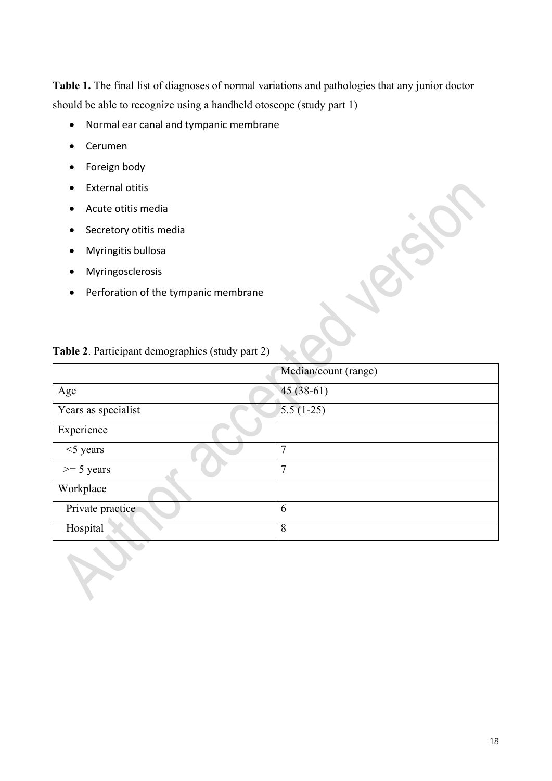**Table 1.** The final list of diagnoses of normal variations and pathologies that any junior doctor should be able to recognize using a handheld otoscope (study part 1)

- Normal ear canal and tympanic membrane
- Cerumen
- Foreign body
- External otitis
- Acute otitis media
- Secretory otitis media
- Myringitis bullosa
- Myringosclerosis
- Perforation of the tympanic membrane

|                     | Median/count (range) |
|---------------------|----------------------|
| Age                 | $45(38-61)$          |
| Years as specialist | $5.5(1-25)$          |
| Experience          |                      |
| $<$ 5 years         | 7                    |
| $>= 5$ years        | 7                    |
| Workplace           |                      |
| Private practice    | 6                    |
| Hospital            | 8                    |

## **Table 2**. Participant demographics (study part 2)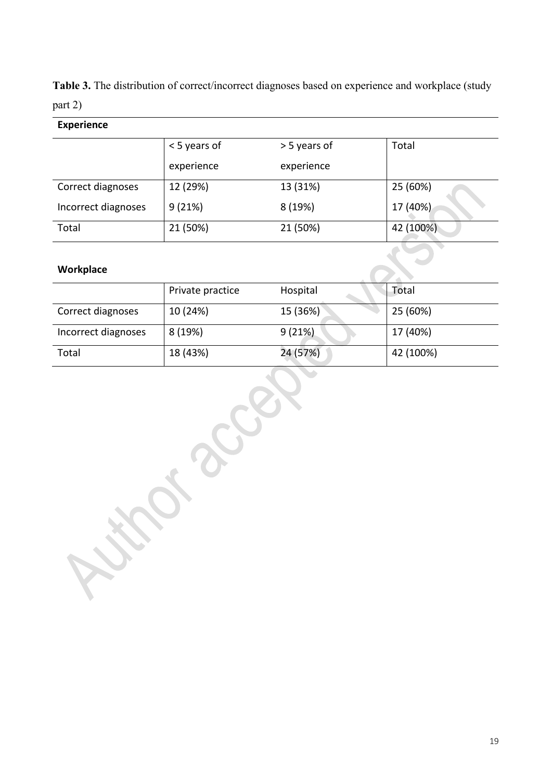**Table 3.** The distribution of correct/incorrect diagnoses based on experience and workplace (study part 2)

## **Experience**

|                     | < 5 years of | > 5 years of | Total     |
|---------------------|--------------|--------------|-----------|
|                     | experience   | experience   |           |
| Correct diagnoses   | 12 (29%)     | 13 (31%)     | 25 (60%)  |
| Incorrect diagnoses | 9(21%)       | 8 (19%)      | 17 (40%)  |
| Total               | 21 (50%)     | 21 (50%)     | 42 (100%) |

## **Workplace**

|                     | Private practice | Hospital | Total     |
|---------------------|------------------|----------|-----------|
| Correct diagnoses   | 10 (24%)         | 15 (36%) | 25 (60%)  |
| Incorrect diagnoses | 8 (19%)          | 9(21%)   | 17 (40%)  |
| Total               | 18 (43%)         | 24 (57%) | 42 (100%) |